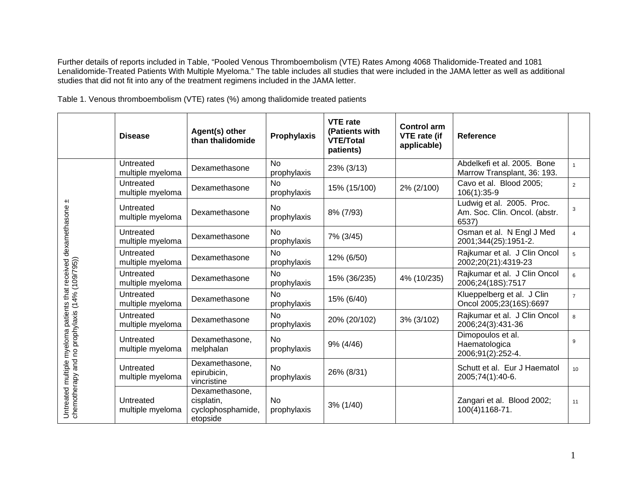Further details of reports included in Table, "Pooled Venous Thromboembolism (VTE) Rates Among 4068 Thalidomide-Treated and 1081 Lenalidomide-Treated Patients With Multiple Myeloma." The table includes all studies that were included in the JAMA letter as well as additional studies that did not fit into any of the treatment regimens included in the JAMA letter.

| Table 1. Venous thromboembolism (VTE) rates (%) among thalidomide treated patients |  |  |  |  |  |
|------------------------------------------------------------------------------------|--|--|--|--|--|
|------------------------------------------------------------------------------------|--|--|--|--|--|

|                                                                                                                    | <b>Disease</b>                | Agent(s) other<br>than thalidomide                            | Prophylaxis              | <b>VTE</b> rate<br>(Patients with<br><b>VTE/Total</b><br>patients) | <b>Control arm</b><br><b>VTE</b> rate (if<br>applicable) | Reference                                                           |                |
|--------------------------------------------------------------------------------------------------------------------|-------------------------------|---------------------------------------------------------------|--------------------------|--------------------------------------------------------------------|----------------------------------------------------------|---------------------------------------------------------------------|----------------|
|                                                                                                                    | Untreated<br>multiple myeloma | Dexamethasone                                                 | <b>No</b><br>prophylaxis | 23% (3/13)                                                         |                                                          | Abdelkefi et al. 2005. Bone<br>Marrow Transplant, 36: 193.          | $\mathbf{1}$   |
|                                                                                                                    | Untreated<br>multiple myeloma | Dexamethasone                                                 | <b>No</b><br>prophylaxis | 15% (15/100)                                                       | 2% (2/100)                                               | Cavo et al. Blood 2005;<br>$106(1):35-9$                            | $\overline{2}$ |
|                                                                                                                    | Untreated<br>multiple myeloma | Dexamethasone                                                 | <b>No</b><br>prophylaxis | 8% (7/93)                                                          |                                                          | Ludwig et al. 2005. Proc.<br>Am. Soc. Clin. Oncol. (abstr.<br>6537) | 3              |
|                                                                                                                    | Untreated<br>multiple myeloma | Dexamethasone                                                 | <b>No</b><br>prophylaxis | 7% (3/45)                                                          |                                                          | Osman et al. N Engl J Med<br>2001;344(25):1951-2.                   | $\overline{4}$ |
|                                                                                                                    | Untreated<br>multiple myeloma | Dexamethasone                                                 | <b>No</b><br>prophylaxis | 12% (6/50)                                                         |                                                          | Rajkumar et al. J Clin Oncol<br>2002;20(21):4319-23                 | 5              |
|                                                                                                                    | Untreated<br>multiple myeloma | Dexamethasone                                                 | <b>No</b><br>prophylaxis | 15% (36/235)                                                       | 4% (10/235)                                              | Rajkumar et al. J Clin Oncol<br>2006;24(18S):7517                   | 6              |
|                                                                                                                    | Untreated<br>multiple myeloma | Dexamethasone                                                 | <b>No</b><br>prophylaxis | 15% (6/40)                                                         |                                                          | Klueppelberg et al. J Clin<br>Oncol 2005;23(16S):6697               | $\overline{7}$ |
|                                                                                                                    | Untreated<br>multiple myeloma | Dexamethasone                                                 | <b>No</b><br>prophylaxis | 20% (20/102)                                                       | 3% (3/102)                                               | Rajkumar et al. J Clin Oncol<br>2006;24(3):431-36                   | 8              |
|                                                                                                                    | Untreated<br>multiple myeloma | Dexamethasone,<br>melphalan                                   | <b>No</b><br>prophylaxis | 9% (4/46)                                                          |                                                          | Dimopoulos et al.<br>Haematologica<br>2006;91(2):252-4.             | 9              |
| Untreated multiple myeloma patients that received dexamethasone<br>chemotherapy and no prophylaxis (14% (109/795)) | Untreated<br>multiple myeloma | Dexamethasone,<br>epirubicin,<br>vincristine                  | <b>No</b><br>prophylaxis | 26% (8/31)                                                         |                                                          | Schutt et al. Eur J Haematol<br>2005;74(1):40-6.                    | 10             |
|                                                                                                                    | Untreated<br>multiple myeloma | Dexamethasone,<br>cisplatin,<br>cyclophosphamide,<br>etopside | <b>No</b><br>prophylaxis | 3% (1/40)                                                          |                                                          | Zangari et al. Blood 2002;<br>100(4)1168-71.                        | 11             |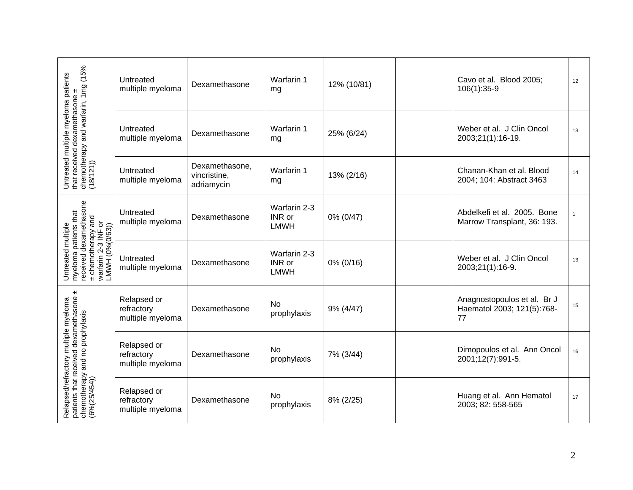| Untreated multiple myeloma patients<br>that received dexamethasone ±<br>chemotherapy and warfarin, 1mg (15%<br>(18/121))                     | Untreated<br>multiple myeloma                 | Dexamethasone                                | Warfarin 1<br>mg                      | 12% (10/81) | Cavo et al. Blood 2005;<br>$106(1):35-9$                        | 12           |
|----------------------------------------------------------------------------------------------------------------------------------------------|-----------------------------------------------|----------------------------------------------|---------------------------------------|-------------|-----------------------------------------------------------------|--------------|
|                                                                                                                                              | Untreated<br>multiple myeloma                 | Dexamethasone                                | Warfarin 1<br>mg                      | 25% (6/24)  | Weber et al. J Clin Oncol<br>2003;21(1):16-19.                  | 13           |
|                                                                                                                                              | Untreated<br>multiple myeloma                 | Dexamethasone,<br>vincristine,<br>adriamycin | Warfarin 1<br>mg                      | 13% (2/16)  | Chanan-Khan et al. Blood<br>2004; 104: Abstract 3463            | 14           |
| received dexamethasone<br>Untreated multiple<br>myeloma patients that<br>and<br>± chemotherapy and<br>warfarin 2-3 INF or<br>LMWH (0%(0/63)) | Untreated<br>multiple myeloma                 | Dexamethasone                                | Warfarin 2-3<br>INR or<br><b>LMWH</b> | 0% (0/47)   | Abdelkefi et al. 2005. Bone<br>Marrow Transplant, 36: 193.      | $\mathbf{1}$ |
|                                                                                                                                              | Untreated<br>multiple myeloma                 | Dexamethasone                                | Warfarin 2-3<br>INR or<br><b>LMWH</b> | 0% (0/16)   | Weber et al. J Clin Oncol<br>2003;21(1):16-9.                   | 13           |
| $\pm$                                                                                                                                        | Relapsed or<br>refractory<br>multiple myeloma | Dexamethasone                                | No<br>prophylaxis                     | 9% (4/47)   | Anagnostopoulos et al. Br J<br>Haematol 2003; 121(5):768-<br>77 | 15           |
| Relapsed/refractory multiple myeloma<br>patients that received dexamethasone<br>chemotherapy and no prophylaxis<br>(6%(25/454))              | Relapsed or<br>refractory<br>multiple myeloma | Dexamethasone                                | No<br>prophylaxis                     | 7% (3/44)   | Dimopoulos et al. Ann Oncol<br>2001;12(7):991-5.                | 16           |
|                                                                                                                                              | Relapsed or<br>refractory<br>multiple myeloma | Dexamethasone                                | No<br>prophylaxis                     | 8% (2/25)   | Huang et al. Ann Hematol<br>2003; 82: 558-565                   | 17           |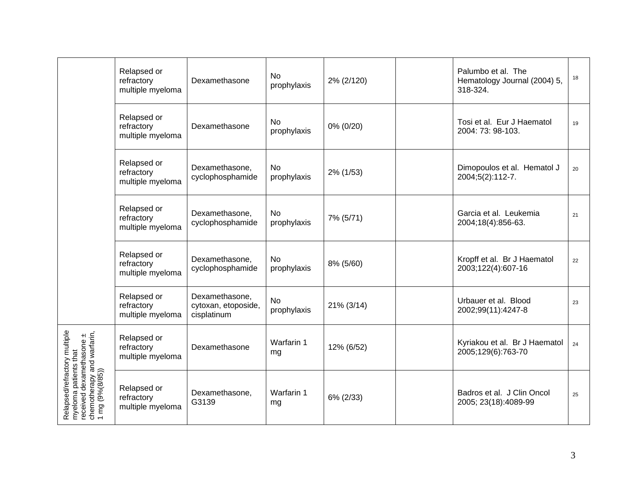|                                                                                                                                    | Relapsed or<br>refractory<br>multiple myeloma | Dexamethasone                                        | <b>No</b><br>prophylaxis | 2% (2/120) | Palumbo et al. The<br>Hematology Journal (2004) 5,<br>318-324. | 18 |
|------------------------------------------------------------------------------------------------------------------------------------|-----------------------------------------------|------------------------------------------------------|--------------------------|------------|----------------------------------------------------------------|----|
|                                                                                                                                    | Relapsed or<br>refractory<br>multiple myeloma | Dexamethasone                                        | <b>No</b><br>prophylaxis | 0% (0/20)  | Tosi et al. Eur J Haematol<br>2004: 73: 98-103.                | 19 |
|                                                                                                                                    | Relapsed or<br>refractory<br>multiple myeloma | Dexamethasone,<br>cyclophosphamide                   | <b>No</b><br>prophylaxis | 2% (1/53)  | Dimopoulos et al. Hematol J<br>2004;5(2):112-7.                | 20 |
|                                                                                                                                    | Relapsed or<br>refractory<br>multiple myeloma | Dexamethasone,<br>cyclophosphamide                   | <b>No</b><br>prophylaxis | 7% (5/71)  | Garcia et al. Leukemia<br>2004;18(4):856-63.                   | 21 |
|                                                                                                                                    | Relapsed or<br>refractory<br>multiple myeloma | Dexamethasone,<br>cyclophosphamide                   | No<br>prophylaxis        | 8% (5/60)  | Kropff et al. Br J Haematol<br>2003;122(4):607-16              | 22 |
|                                                                                                                                    | Relapsed or<br>refractory<br>multiple myeloma | Dexamethasone,<br>cytoxan, etoposide,<br>cisplatinum | <b>No</b><br>prophylaxis | 21% (3/14) | Urbauer et al. Blood<br>2002;99(11):4247-8                     | 23 |
|                                                                                                                                    | Relapsed or<br>refractory<br>multiple myeloma | Dexamethasone                                        | Warfarin 1<br>mg         | 12% (6/52) | Kyriakou et al. Br J Haematol<br>2005;129(6):763-70            | 24 |
| Relapsed/refractory multiple<br>myeloma patients that<br>received dexamethasone ±<br>chemotherapy and warfarin,<br>1 mg (9%(8/85)) | Relapsed or<br>refractory<br>multiple myeloma | Dexamethasone,<br>G3139                              | Warfarin 1<br>mg         | 6% (2/33)  | Badros et al. J Clin Oncol<br>2005; 23(18):4089-99             | 25 |
|                                                                                                                                    |                                               |                                                      |                          |            |                                                                |    |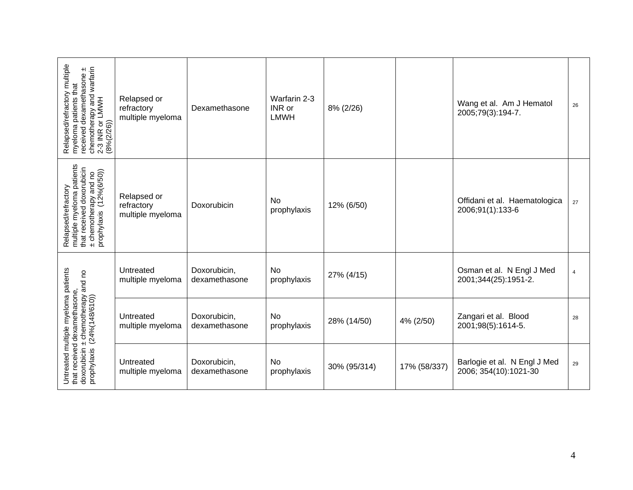| Relapsed/refractory multiple<br>myeloma patients that<br>chemotherapy and warfarin<br>eceived dexamethasone ±<br>2-3 INR or LMWH<br>(8%(2/26)) | Relapsed or<br>refractory<br>multiple myeloma | Dexamethasone                 | Warfarin 2-3<br>INR or<br><b>LMWH</b> | 8% (2/26)    |              | Wang et al. Am J Hematol<br>2005;79(3):194-7.         | 26             |
|------------------------------------------------------------------------------------------------------------------------------------------------|-----------------------------------------------|-------------------------------|---------------------------------------|--------------|--------------|-------------------------------------------------------|----------------|
| multiple myeloma patients<br>that received doxorubicin<br>± chemotherapy and no<br>prophylaxis (12%(6/50))<br>Relapsed/refractory              | Relapsed or<br>refractory<br>multiple myeloma | Doxorubicin                   | No<br>prophylaxis                     | 12% (6/50)   |              | Offidani et al. Haematologica<br>2006;91(1):133-6     | 27             |
|                                                                                                                                                | Untreated<br>multiple myeloma                 | Doxorubicin,<br>dexamethasone | No<br>prophylaxis                     | 27% (4/15)   |              | Osman et al. N Engl J Med<br>2001;344(25):1951-2.     | $\overline{4}$ |
| Untreated multiple myeloma patients<br>that received dexamethasone,<br>doxorubicin ± chemotherapy and no<br>prophylaxis (24%(148/610)),        | Untreated<br>multiple myeloma                 | Doxorubicin,<br>dexamethasone | No<br>prophylaxis                     | 28% (14/50)  | 4% (2/50)    | Zangari et al. Blood<br>2001;98(5):1614-5.            | 28             |
|                                                                                                                                                | Untreated<br>multiple myeloma                 | Doxorubicin,<br>dexamethasone | No<br>prophylaxis                     | 30% (95/314) | 17% (58/337) | Barlogie et al. N Engl J Med<br>2006; 354(10):1021-30 | 29             |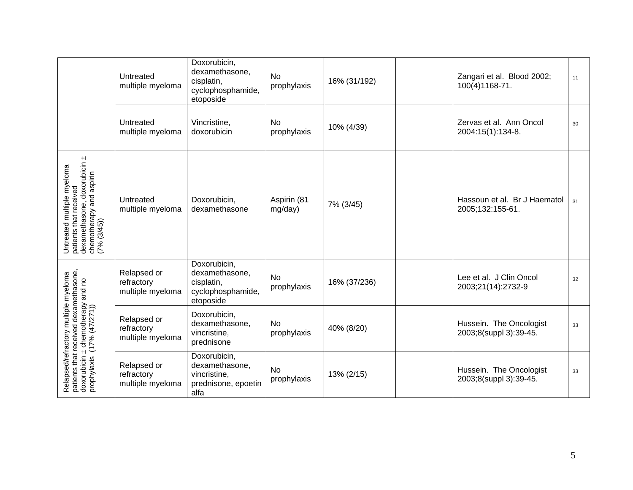|                                                                                                                                                  | Untreated<br>multiple myeloma                 | Doxorubicin,<br>dexamethasone,<br>cisplatin,<br>cyclophosphamide,<br>etoposide | <b>No</b><br>prophylaxis | 16% (31/192) | Zangari et al. Blood 2002;<br>100(4)1168-71.      | 11 |
|--------------------------------------------------------------------------------------------------------------------------------------------------|-----------------------------------------------|--------------------------------------------------------------------------------|--------------------------|--------------|---------------------------------------------------|----|
|                                                                                                                                                  | Untreated<br>multiple myeloma                 | Vincristine,<br>doxorubicin                                                    | No<br>prophylaxis        | 10% (4/39)   | Zervas et al. Ann Oncol<br>2004:15(1):134-8.      | 30 |
| Untreated multiple myeloma<br>patients that received<br>dexamethasone, doxorubicin ±<br>chemotherapy and aspirin<br>(7% (3/45))                  | Untreated<br>multiple myeloma                 | Doxorubicin,<br>dexamethasone                                                  | Aspirin (81<br>mg/day)   | 7% (3/45)    | Hassoun et al. Br J Haematol<br>2005;132:155-61.  | 31 |
|                                                                                                                                                  | Relapsed or<br>refractory<br>multiple myeloma | Doxorubicin,<br>dexamethasone,<br>cisplatin,<br>cyclophosphamide,<br>etoposide | <b>No</b><br>prophylaxis | 16% (37/236) | Lee et al. J Clin Oncol<br>2003;21(14):2732-9     | 32 |
| Relapsed/refractory multiple myeloma<br>patients that received dexamethasone,<br>doxorubicin ± chemotherapy and no<br>prophylaxis (17% (47/271)) | Relapsed or<br>refractory<br>multiple myeloma | Doxorubicin,<br>dexamethasone,<br>vincristine,<br>prednisone                   | No<br>prophylaxis        | 40% (8/20)   | Hussein. The Oncologist<br>2003;8(suppl 3):39-45. | 33 |
|                                                                                                                                                  | Relapsed or<br>refractory<br>multiple myeloma | Doxorubicin,<br>dexamethasone,<br>vincristine,<br>prednisone, epoetin<br>alfa  | <b>No</b><br>prophylaxis | 13% (2/15)   | Hussein. The Oncologist<br>2003;8(suppl 3):39-45. | 33 |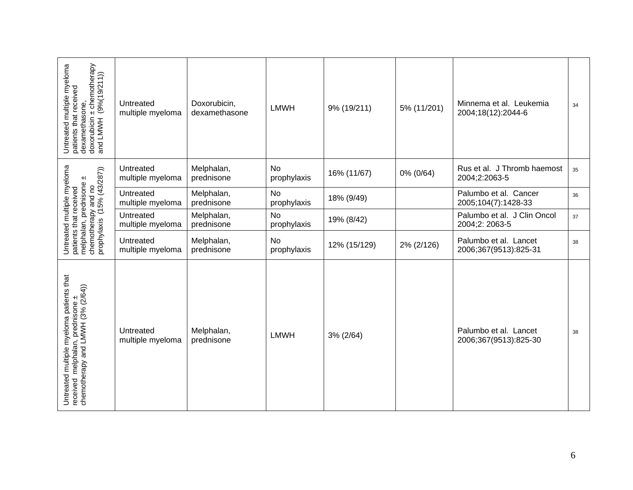| ± chemotherapy<br>Untreated multiple myeloma<br>(9% (19/211))<br>patients that received<br>dexamethasone,<br>and LMWH<br>doxorubicin | Untreated<br>multiple myeloma | Doxorubicin,<br>dexamethasone | <b>LMWH</b>              | 9% (19/211)  | 5% (11/201) | Minnema et al. Leukemia<br>2004;18(12):2044-6  | 34 |
|--------------------------------------------------------------------------------------------------------------------------------------|-------------------------------|-------------------------------|--------------------------|--------------|-------------|------------------------------------------------|----|
|                                                                                                                                      | Untreated<br>multiple myeloma | Melphalan,<br>prednisone      | <b>No</b><br>prophylaxis | 16% (11/67)  | 0% (0/64)   | Rus et al. J Thromb haemost<br>2004;2:2063-5   | 35 |
|                                                                                                                                      | Untreated<br>multiple myeloma | Melphalan,<br>prednisone      | <b>No</b><br>prophylaxis | 18% (9/49)   |             | Palumbo et al. Cancer<br>2005;104(7):1428-33   | 36 |
|                                                                                                                                      | Untreated<br>multiple myeloma | Melphalan,<br>prednisone      | <b>No</b><br>prophylaxis | 19% (8/42)   |             | Palumbo et al. J Clin Oncol<br>2004;2: 2063-5  | 37 |
| Untreated multiple myeloma<br>patients that received<br>melphalan, prednisone ±<br>chemotherapy and no<br>prophylaxis (15% (43/287)) | Untreated<br>multiple myeloma | Melphalan,<br>prednisone      | <b>No</b><br>prophylaxis | 12% (15/129) | 2% (2/126)  | Palumbo et al. Lancet<br>2006;367(9513):825-31 | 38 |
| Untreated multiple myeloma patients that<br>received melphalan, prednisone ±<br>chemotherapy and LMWH (3% (2/64))                    | Untreated<br>multiple myeloma | Melphalan,<br>prednisone      | <b>LMWH</b>              | 3% (2/64)    |             | Palumbo et al. Lancet<br>2006;367(9513):825-30 | 38 |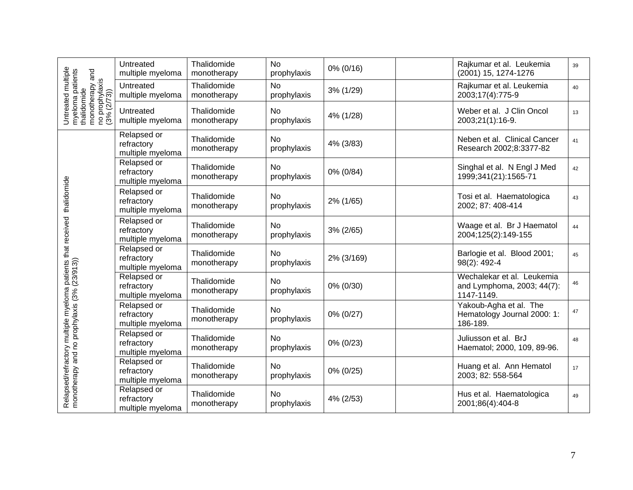|                                                                                                              | Untreated<br>multiple myeloma                 | Thalidomide<br>monotherapy | <b>No</b><br>prophylaxis | 0% (0/16)  | Rajkumar et al. Leukemia<br>(2001) 15, 1274-1276                       | 39 |
|--------------------------------------------------------------------------------------------------------------|-----------------------------------------------|----------------------------|--------------------------|------------|------------------------------------------------------------------------|----|
|                                                                                                              | Untreated<br>multiple myeloma                 | Thalidomide<br>monotherapy | No<br>prophylaxis        | 3% (1/29)  | Rajkumar et al. Leukemia<br>2003;17(4):775-9                           | 40 |
| Untreated multiple<br>myeloma patients<br>thalidomide<br>monotherapy and<br>no prophylaxis<br>no prophylaxis | Untreated<br>multiple myeloma                 | Thalidomide<br>monotherapy | <b>No</b><br>prophylaxis | 4% (1/28)  | Weber et al. J Clin Oncol<br>2003;21(1):16-9.                          | 13 |
|                                                                                                              | Relapsed or<br>refractory<br>multiple myeloma | Thalidomide<br>monotherapy | <b>No</b><br>prophylaxis | 4% (3/83)  | Neben et al. Clinical Cancer<br>Research 2002;8:3377-82                | 41 |
|                                                                                                              | Relapsed or<br>refractory<br>multiple myeloma | Thalidomide<br>monotherapy | <b>No</b><br>prophylaxis | 0% (0/84)  | Singhal et al. N Engl J Med<br>1999;341(21):1565-71                    | 42 |
| thalidomide                                                                                                  | Relapsed or<br>refractory<br>multiple myeloma | Thalidomide<br>monotherapy | <b>No</b><br>prophylaxis | 2% (1/65)  | Tosi et al. Haematologica<br>2002; 87: 408-414                         | 43 |
|                                                                                                              | Relapsed or<br>refractory<br>multiple myeloma | Thalidomide<br>monotherapy | <b>No</b><br>prophylaxis | 3% (2/65)  | Waage et al. Br J Haematol<br>2004;125(2):149-155                      | 44 |
|                                                                                                              | Relapsed or<br>refractory<br>multiple myeloma | Thalidomide<br>monotherapy | <b>No</b><br>prophylaxis | 2% (3/169) | Barlogie et al. Blood 2001;<br>98(2): 492-4                            | 45 |
|                                                                                                              | Relapsed or<br>refractory<br>multiple myeloma | Thalidomide<br>monotherapy | <b>No</b><br>prophylaxis | 0% (0/30)  | Wechalekar et al. Leukemia<br>and Lymphoma, 2003; 44(7):<br>1147-1149. | 46 |
|                                                                                                              | Relapsed or<br>refractory<br>multiple myeloma | Thalidomide<br>monotherapy | <b>No</b><br>prophylaxis | 0% (0/27)  | Yakoub-Agha et al. The<br>Hematology Journal 2000: 1:<br>186-189.      | 47 |
| Relapsed/refractory multiple myeloma patients that received<br>monotherapy and no prophylaxis (3% (23/913))  | Relapsed or<br>refractory<br>multiple myeloma | Thalidomide<br>monotherapy | No<br>prophylaxis        | 0% (0/23)  | Juliusson et al. BrJ<br>Haematol; 2000, 109, 89-96.                    | 48 |
|                                                                                                              | Relapsed or<br>refractory<br>multiple myeloma | Thalidomide<br>monotherapy | No<br>prophylaxis        | 0% (0/25)  | Huang et al. Ann Hematol<br>2003; 82: 558-564                          | 17 |
|                                                                                                              | Relapsed or<br>refractory<br>multiple myeloma | Thalidomide<br>monotherapy | <b>No</b><br>prophylaxis | 4% (2/53)  | Hus et al. Haematologica<br>2001;86(4):404-8                           | 49 |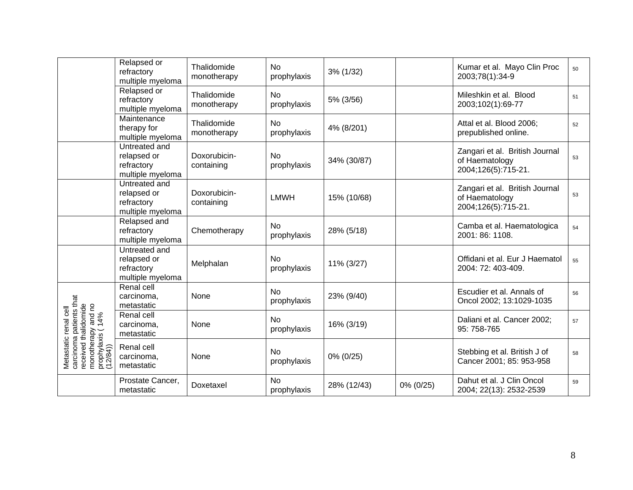|                                                                                                                                 | Relapsed or<br>refractory<br>multiple myeloma                  | Thalidomide<br>monotherapy | <b>No</b><br>prophylaxis | 3% (1/32)   |           | Kumar et al. Mayo Clin Proc<br>2003;78(1):34-9                          | 50 |
|---------------------------------------------------------------------------------------------------------------------------------|----------------------------------------------------------------|----------------------------|--------------------------|-------------|-----------|-------------------------------------------------------------------------|----|
|                                                                                                                                 | Relapsed or<br>refractory<br>multiple myeloma                  | Thalidomide<br>monotherapy | <b>No</b><br>prophylaxis | 5% (3/56)   |           | Mileshkin et al. Blood<br>2003;102(1):69-77                             | 51 |
|                                                                                                                                 | Maintenance<br>therapy for<br>multiple myeloma                 | Thalidomide<br>monotherapy | <b>No</b><br>prophylaxis | 4% (8/201)  |           | Attal et al. Blood 2006;<br>prepublished online.                        | 52 |
|                                                                                                                                 | Untreated and<br>relapsed or<br>refractory<br>multiple myeloma | Doxorubicin-<br>containing | <b>No</b><br>prophylaxis | 34% (30/87) |           | Zangari et al. British Journal<br>of Haematology<br>2004;126(5):715-21. | 53 |
|                                                                                                                                 | Untreated and<br>relapsed or<br>refractory<br>multiple myeloma | Doxorubicin-<br>containing | <b>LMWH</b>              | 15% (10/68) |           | Zangari et al. British Journal<br>of Haematology<br>2004;126(5):715-21. | 53 |
|                                                                                                                                 | Relapsed and<br>refractory<br>multiple myeloma                 | Chemotherapy               | <b>No</b><br>prophylaxis | 28% (5/18)  |           | Camba et al. Haematologica<br>2001: 86: 1108.                           | 54 |
|                                                                                                                                 | Untreated and<br>relapsed or<br>refractory<br>multiple myeloma | Melphalan                  | <b>No</b><br>prophylaxis | 11% (3/27)  |           | Offidani et al. Eur J Haematol<br>2004: 72: 403-409.                    | 55 |
|                                                                                                                                 | Renal cell<br>carcinoma,<br>metastatic                         | None                       | <b>No</b><br>prophylaxis | 23% (9/40)  |           | Escudier et al. Annals of<br>Oncol 2002; 13:1029-1035                   | 56 |
|                                                                                                                                 | Renal cell<br>carcinoma,<br>metastatic                         | None                       | <b>No</b><br>prophylaxis | 16% (3/19)  |           | Daliani et al. Cancer 2002;<br>95: 758-765                              | 57 |
| carcinoma patients that<br>received thalidomide<br>monotherapy and no<br>prophylaxis ( 14%<br>(12/84))<br>Metastatic renal cell | Renal cell<br>carcinoma,<br>metastatic                         | None                       | <b>No</b><br>prophylaxis | 0% (0/25)   |           | Stebbing et al. British J of<br>Cancer 2001; 85: 953-958                | 58 |
|                                                                                                                                 | Prostate Cancer,<br>metastatic                                 | Doxetaxel                  | <b>No</b><br>prophylaxis | 28% (12/43) | 0% (0/25) | Dahut et al. J Clin Oncol<br>2004; 22(13): 2532-2539                    | 59 |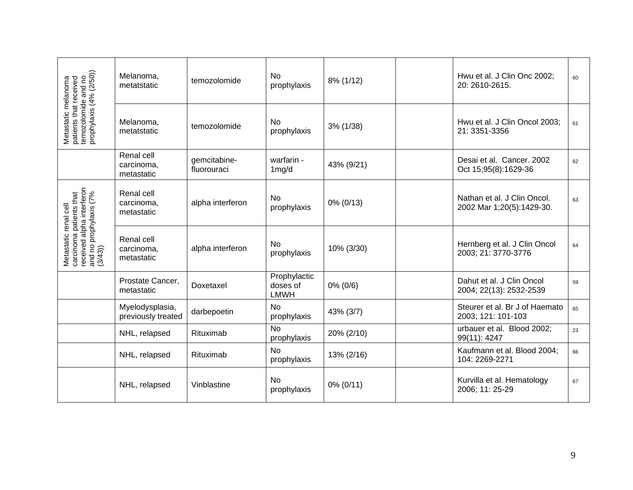|                                                                                                                    | Melanoma,<br>metatstatic               | temozolomide                | <b>No</b><br>prophylaxis                | 8% (1/12)  | Hwu et al. J Clin Onc 2002;<br>20: 2610-2615.            | 60 |
|--------------------------------------------------------------------------------------------------------------------|----------------------------------------|-----------------------------|-----------------------------------------|------------|----------------------------------------------------------|----|
| Metastatic melanoma<br>patients that received<br>temozolomide and no<br>prophylaxis (4% (2/50))                    | Melanoma,<br>metatstatic               | temozolomide                | No<br>prophylaxis                       | 3% (1/38)  | Hwu et al. J Clin Oncol 2003;<br>21: 3351-3356           | 61 |
|                                                                                                                    | Renal cell<br>carcinoma,<br>metastatic | gemcitabine-<br>fluorouraci | warfarin -<br>1 <sub>mg/d</sub>         | 43% (9/21) | Desai et al. Cancer. 2002<br>Oct 15;95(8):1629-36        | 62 |
|                                                                                                                    | Renal cell<br>carcinoma,<br>metastatic | alpha interferon            | <b>No</b><br>prophylaxis                | 0% (0/13)  | Nathan et al. J Clin Oncol.<br>2002 Mar 1;20(5):1429-30. | 63 |
| Metastatic renal cell<br>carcinoma patients that<br>received alpha interferon<br>and no prophylaxis (7%<br>(3/43)) | Renal cell<br>carcinoma,<br>metastatic | alpha interferon            | <b>No</b><br>prophylaxis                | 10% (3/30) | Hernberg et al. J Clin Oncol<br>2003; 21: 3770-3776      | 64 |
|                                                                                                                    | Prostate Cancer,<br>metastatic         | Doxetaxel                   | Prophylactic<br>doses of<br><b>LMWH</b> | 0% (0/6)   | Dahut et al. J Clin Oncol<br>2004; 22(13): 2532-2539     | 59 |
|                                                                                                                    | Myelodysplasia,<br>previously treated  | darbepoetin                 | <b>No</b><br>prophylaxis                | 43% (3/7)  | Steurer et al. Br J of Haemato<br>2003; 121: 101-103     | 65 |
|                                                                                                                    | NHL, relapsed                          | Rituximab                   | <b>No</b><br>prophylaxis                | 20% (2/10) | urbauer et al. Blood 2002;<br>99(11): 4247               | 23 |
|                                                                                                                    | NHL, relapsed                          | Rituximab                   | <b>No</b><br>prophylaxis                | 13% (2/16) | Kaufmann et al. Blood 2004;<br>104: 2269-2271            | 66 |
|                                                                                                                    | NHL, relapsed                          | Vinblastine                 | <b>No</b><br>prophylaxis                | 0% (0/11)  | Kurvilla et al. Hematology<br>2006; 11: 25-29            | 67 |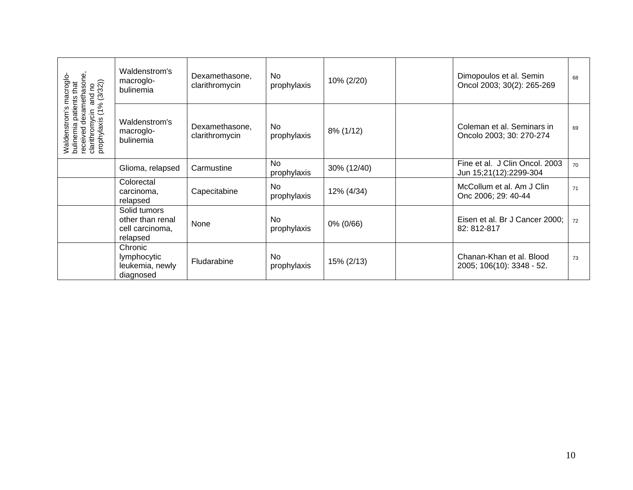|                                                                                                                                   | Waldenstrom's<br>macroglo-<br>bulinemia                         | Dexamethasone,<br>clarithromycin | No.<br>prophylaxis       | 10% (2/20)  | Dimopoulos et al. Semin<br>Oncol 2003; 30(2): 265-269    | 68 |
|-----------------------------------------------------------------------------------------------------------------------------------|-----------------------------------------------------------------|----------------------------------|--------------------------|-------------|----------------------------------------------------------|----|
| Waldenstrom's macroglo-<br>bulinemia patients that<br>received dexamethasone,<br>clarithromycin and no<br>prophylaxis (1% (3/32)) | Waldenstrom's<br>macroglo-<br>bulinemia                         | Dexamethasone,<br>clarithromycin | No<br>prophylaxis        | 8% (1/12)   | Coleman et al. Seminars in<br>Oncolo 2003; 30: 270-274   | 69 |
|                                                                                                                                   | Glioma, relapsed                                                | Carmustine                       | <b>No</b><br>prophylaxis | 30% (12/40) | Fine et al. J Clin Oncol. 2003<br>Jun 15;21(12):2299-304 | 70 |
|                                                                                                                                   | Colorectal<br>carcinoma,<br>relapsed                            | Capecitabine                     | <b>No</b><br>prophylaxis | 12% (4/34)  | McCollum et al. Am J Clin<br>Onc 2006; 29: 40-44         | 71 |
|                                                                                                                                   | Solid tumors<br>other than renal<br>cell carcinoma,<br>relapsed | None                             | <b>No</b><br>prophylaxis | 0% (0/66)   | Eisen et al. Br J Cancer 2000;<br>82: 812-817            | 72 |
|                                                                                                                                   | Chronic<br>lymphocytic<br>leukemia, newly<br>diagnosed          | Fludarabine                      | <b>No</b><br>prophylaxis | 15% (2/13)  | Chanan-Khan et al. Blood<br>2005; 106(10): 3348 - 52.    | 73 |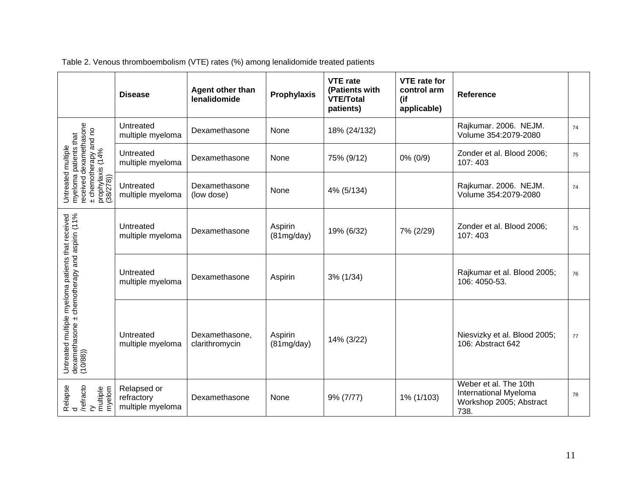|                                                                                                                                 | <b>Disease</b>                                | Agent other than<br>lenalidomide | <b>Prophylaxis</b>    | <b>VTE</b> rate<br>(Patients with<br><b>VTE/Total</b><br>patients) | <b>VTE</b> rate for<br>control arm<br>(if<br>applicable) | Reference                                                                         |    |
|---------------------------------------------------------------------------------------------------------------------------------|-----------------------------------------------|----------------------------------|-----------------------|--------------------------------------------------------------------|----------------------------------------------------------|-----------------------------------------------------------------------------------|----|
|                                                                                                                                 | Untreated<br>multiple myeloma                 | Dexamethasone                    | None                  | 18% (24/132)                                                       |                                                          | Rajkumar. 2006. NEJM.<br>Volume 354:2079-2080                                     | 74 |
|                                                                                                                                 | Untreated<br>multiple myeloma                 | Dexamethasone                    | None                  | 75% (9/12)                                                         | 0% (0/9)                                                 | Zonder et al. Blood 2006;<br>107:403                                              | 75 |
| Untreated multiple<br>myeloma patients that<br>received dexamethasone<br>± chemotherapy and no<br>prophylaxis (14%<br>(38/278)) | Untreated<br>multiple myeloma                 | Dexamethasone<br>(low dose)      | None                  | 4% (5/134)                                                         |                                                          | Rajkumar. 2006. NEJM.<br>Volume 354:2079-2080                                     | 74 |
| Untreated multiple myeloma patients that received<br>dexamethasone ± chemotherapy and aspirin (11%<br>(10/88))                  | Untreated<br>multiple myeloma                 | Dexamethasone                    | Aspirin<br>(81mg/day) | 19% (6/32)                                                         | 7% (2/29)                                                | Zonder et al. Blood 2006;<br>107:403                                              | 75 |
|                                                                                                                                 | Untreated<br>multiple myeloma                 | Dexamethasone                    | Aspirin               | 3% (1/34)                                                          |                                                          | Rajkumar et al. Blood 2005;<br>106: 4050-53.                                      | 76 |
|                                                                                                                                 | Untreated<br>multiple myeloma                 | Dexamethasone,<br>clarithromycin | Aspirin<br>(81mg/day) | 14% (3/22)                                                         |                                                          | Niesvizky et al. Blood 2005;<br>106: Abstract 642                                 | 77 |
| Relapse<br>d<br>//efracto<br>multiple<br>myelom<br>myelom                                                                       | Relapsed or<br>refractory<br>multiple myeloma | Dexamethasone                    | None                  | 9% (7/77)                                                          | 1% (1/103)                                               | Weber et al. The 10th<br>International Myeloma<br>Workshop 2005; Abstract<br>738. | 78 |

Table 2. Venous thromboembolism (VTE) rates (%) among lenalidomide treated patients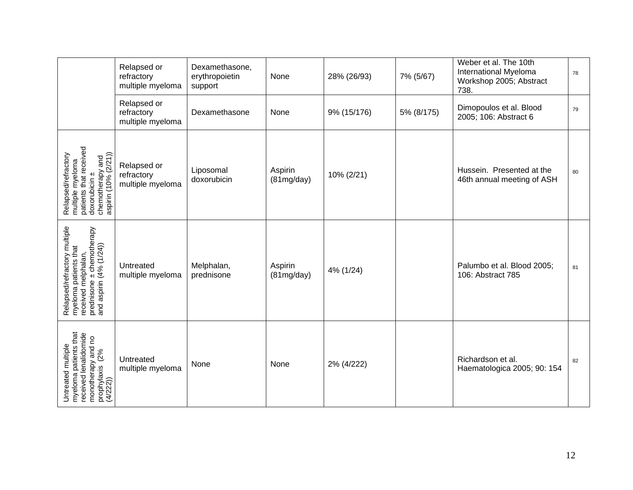|                                                                                                                                      | Relapsed or<br>refractory<br>multiple myeloma | Dexamethasone,<br>erythropoietin<br>support | None                  | 28% (26/93) | 7% (5/67)  | Weber et al. The 10th<br>International Myeloma<br>Workshop 2005; Abstract<br>738. | 78 |
|--------------------------------------------------------------------------------------------------------------------------------------|-----------------------------------------------|---------------------------------------------|-----------------------|-------------|------------|-----------------------------------------------------------------------------------|----|
|                                                                                                                                      | Relapsed or<br>refractory<br>multiple myeloma | Dexamethasone                               | None                  | 9% (15/176) | 5% (8/175) | Dimopoulos et al. Blood<br>2005; 106: Abstract 6                                  | 79 |
| multiple myeloma<br>patients that received<br>chemotherapy and<br>aspirin (10% (2/21))<br>Relapsed/refractory<br>doxorubicin ±       | Relapsed or<br>refractory<br>multiple myeloma | Liposomal<br>doxorubicin                    | Aspirin<br>(81mg/day) | 10% (2/21)  |            | Hussein. Presented at the<br>46th annual meeting of ASH                           | 80 |
| Relapsed/refractory multiple<br>myeloma patients that<br>received melphalan,<br>prednisone ± chemotherapy<br>and aspirin (4% (1/24)) | Untreated<br>multiple myeloma                 | Melphalan,<br>prednisone                    | Aspirin<br>(81mg/day) | 4% (1/24)   |            | Palumbo et al. Blood 2005;<br>106: Abstract 785                                   | 81 |
| Untreated multiple<br>myeloma patients that<br>received lenalidomide<br>monotherapy and no<br>prophylaxis (2%<br>(4/222))            | Untreated<br>multiple myeloma                 | None                                        | None                  | 2% (4/222)  |            | Richardson et al.<br>Haematologica 2005; 90: 154                                  | 82 |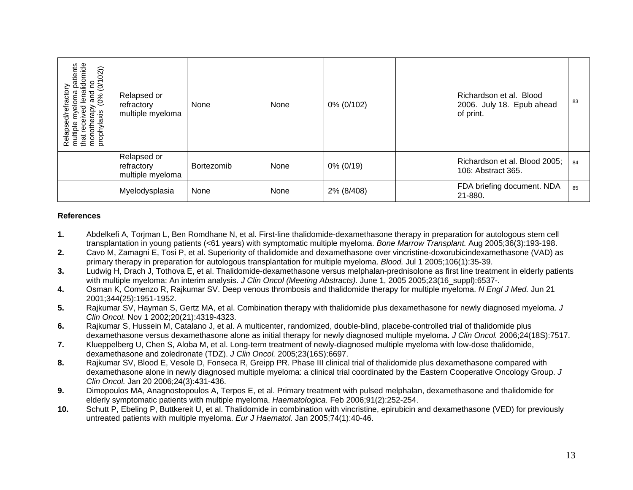<span id="page-12-0"></span>

| Relapsed/refractory<br>multiple myeloma patients<br>that received lenalidomide<br>monotherapy and no<br>prophylaxis (0% (0/102)) | Relapsed or<br>refractory<br>multiple myeloma | None       | None | 0% (0/102)   | Richardson et al. Blood<br>2006. July 18. Epub ahead<br>of print. | 83 |
|----------------------------------------------------------------------------------------------------------------------------------|-----------------------------------------------|------------|------|--------------|-------------------------------------------------------------------|----|
|                                                                                                                                  | Relapsed or<br>refractory<br>multiple myeloma | Bortezomib | None | $0\% (0/19)$ | Richardson et al. Blood 2005;<br>106: Abstract 365.               | 84 |
|                                                                                                                                  | Myelodysplasia                                | None       | None | 2% (8/408)   | FDA briefing document. NDA<br>21-880.                             | 85 |

## **References**

- **1.** Abdelkefi A, Torjman L, Ben Romdhan e N, et al. First-line thalidomide-dexamethasone therapy in preparation for autologous stem cell transplantation in young patients (<61 years) with symptomatic multiple myeloma. *Bone Marrow Transplant.* Aug 2005;36(3):193-198.
- **2.** Cavo M, Zamagni E, Tosi P, et al. Superiority of thalidomide and dexamethasone over vincristine-doxorubicindexamethasone (VAD) as primary therapy in preparation for autologous transplantation for multiple myeloma. *Blood.* Jul 1 2005;106(1):35-39.
- **3.** Ludwig H, Drach J, Tothova E, et al. Thalidomide-dexamethasone versus melphalan-prednisolone as first line treatment in elderly patients with multiple myeloma: An interim analysis. *J Clin Oncol (Meeting Abstracts).* June 1, 2005 2005;23(16\_suppl):6537-.
- **4.** Osman K, Comenzo R, Rajkumar SV. Deep venous thrombosis and thalidomide therapy for multiple myeloma. *N Engl J Med.* Jun 21 2001;344(25):1951-1952.
- **5.** Rajkumar SV, Hayman S, Gertz MA, et al. Combination therapy with thalidomide plus dexamethasone for newly diagnosed myeloma. *J Clin Oncol.* Nov 1 2002;20(21):4319-4323.
- **6.** Rajkumar S, Hussein M, Catalano J, et al. A multicenter, randomized, double-blind, placebe-controlled trial of thalidomide plus dexamethasone versus dexamethasone alone as initial therapy for newly diagnosed multiple myeloma. *J Clin Oncol.* 2006;24(18S):7517.
- **7.** Klueppelberg U, Chen S, Aloba M, et al. Long-term treatment of newly-diagnosed multiple myeloma with low-dose thalidomide, dexamethasone and zoledronate (TDZ). *J Clin Oncol.* 2005;23(16S):6697.
- **8.** Rajkumar SV, Blood E, Vesole D, Fonseca R, Greipp PR. Phase III clinical trial of thalidomide plus dexamethasone compared with dexamethasone alone in newly diagnosed multiple myeloma: a clinical trial coordinated by the Eastern Cooperative Oncology Group. *J Clin Oncol.* Jan 20 2006;24(3):431-436.
- **9.** Dimopoulos MA, Anagnostopoulos A, Terpos E, et al. Primary treatment with pulsed melphalan, dexamethasone and thalidomide for elderly symptomatic patients with multiple myeloma. *Haematologica.* Feb 2006;91(2):252-254.
- **10.** Schutt P, Ebeling P, Buttkereit U, et al. Thalidomide in combination with vincristine, epirubicin and dexamethasone (VED) for previously untreated patients with multiple myeloma. *Eur J Haematol.* Jan 2005;74(1):40-46.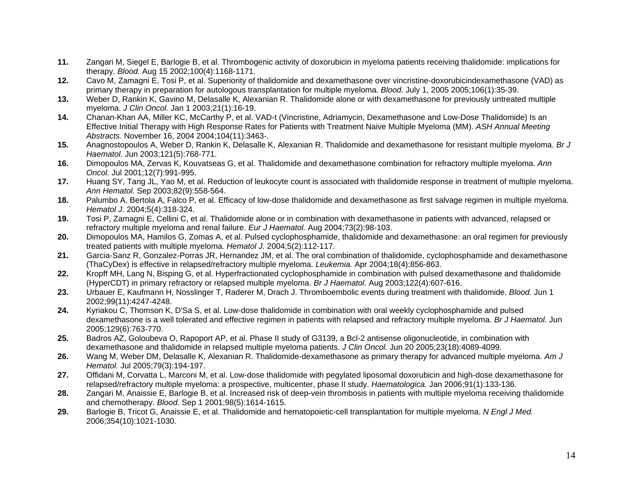- <span id="page-13-0"></span>**11.** Zangari M, Siegel E, Barlogie B, et al. Thrombogenic activity of doxorubicin in myeloma patients receiving thalidomide: implications for therapy. *Blood.* Aug 15 2002;100(4):1168-1171.
- **12.** Cavo M, Zamagni E, Tosi P, et al. Superiority of thalidomide and dexamethasone over vincristine-doxorubicindexamethasone (VAD) as primary therapy in preparation for autologous transplantation for multiple myeloma. *Blood.* July 1, 2005 2005;106(1):35-39.
- **13.** Weber D, Rankin K, Gavino M, Delasalle K, Alexanian R. Thalido mide alone or with dexamethasone for previously untreated multiple myeloma. *J Clin Oncol.* Jan 1 2003;21(1):16-19.
- **14.** Chanan-Khan AA, Miller KC, McCarthy P, et al. VAD-t (Vincristine, Adriamycin, Dexamethasone and Low-Dose Thalidomide) Is an Effective Initial Therapy with High Response Rates for Patients with Treatment Naive Multiple Myeloma (MM). *ASH Annual Meeting Abstracts.* November 16, 2004 2004;104(11):3463-.
- **15.** Anagnostopoulos A, Weber D, Rankin K, Delasalle K, Alexanian R. Thalidomide and dexamethasone for resistant multiple myeloma. *Br J Haematol.* Jun 2003;121(5):768-771.
- **16.** Dimopoulos MA, Zervas K, Kouvatseas G, et al. Thalidomide and dexamethasone combination for refractory multiple myeloma. *Ann Oncol.* Jul 2001;12(7):991-995.
- **17.** Huang SY, Tang JL, Yao M, et al. Reduction of leukocyte count is associated with thalidomide response in treatment of multiple myeloma. *Ann Hematol.* Sep 2003;82(9):558-564.
- **18.** Palumbo A, Bertola A, Falco P, et al. Efficacy of low-dose thalidomide and dexamethasone as first salvage regimen in multiple myeloma. *Hematol J.* 2004;5(4):318-324.
- **19.** Tosi P, Zamagni E, Cellini C, et al. Thalidomide alone or in com bination with dexamethasone in patients with advanced, relapsed or refractory multiple myeloma and renal failure. *Eur J Haematol.* Aug 2004;73(2):98-103.
- **20.** Dimopoulos MA, Hamilos G, Zomas A, et al. Pulsed cyclophosphamide, thalido mide and dexamethasone: an oral regimen for previously treated patients with multiple myeloma. *Hematol J.* 2004;5(2):112-117.
- **21.** Garcia-Sanz R, Gonzalez-Porras JR, Hernandez JM, et al. The oral combination of thalidomide, cyclophosphamide and dexamethasone (ThaCyDex) is effective in relapsed/refractory multiple myeloma. *Leukemia.* Apr 2004;18(4):856-863.
- **22.** Kropff MH, Lang N, Bisping G, et al. Hyperfractionated cyclophosphamide in combination with pulsed dexamethasone and thalidomide (HyperCDT) in primary refractory or relapsed multiple myeloma. *Br J Haematol.* Aug 2003;122(4):607-616.
- **23.** Urbauer E, Kaufmann H, Nosslinger T, Raderer M, Drach J. Thromboembolic events during treatment with thalidomide. *Blood.* Jun 1 2002;99(11):4247-4248.
- **24.** Kyriakou C, Thomson K, D'Sa S, et al. Low-dose thalidomide in combination with oral weekly cyclophosphamide and pulsed dexamethasone is a well tolerated and effective regimen in patients with relapsed and refractory multiple myeloma. *Br J Haematol.* Jun 2005;129(6):763-770.
- **25.** Badros AZ, Goloubeva O, Rapoport AP, et al. Phase II study of G3139, a Bcl-2 antisense oligonucleotide, in combination with dexamethasone and thalidomide in relapsed multiple myeloma patients. *J Clin Oncol.* Jun 20 2005;23(18):4089-4099.
- **26.** Wang M, Weber DM, Delasalle K, Alexanian R. Thalidomide-dexamethasone as primary therapy for advanced multiple myeloma. *Am J Hematol.* Jul 2005;79(3):194-197.
- **27.** Offidani M, Corvatta L, Marconi M, et al. Low-dose thalidomide with pegylated liposomal doxorubicin and high-dose dexamethasone for relapsed/refractory multiple myeloma: a prospective, multicenter, phase II study. *Haematologica.* Jan 2006;91(1):133-136.
- **28.** Zangari M, Anaissie E, Barlogie B, et al. Increased risk of deep-vein thrombosis in patients with multiple myeloma receiving thalidomide and chemotherapy. *Blood.* Sep 1 2001;98(5):1614-1615.
- **29.** Barlogie B, Tricot G, Anaissie E, et al. Thalidomide and hematopoietic-cell transplantation for multiple myeloma. *N Engl J Med.*  2006;354(10):1021-1030.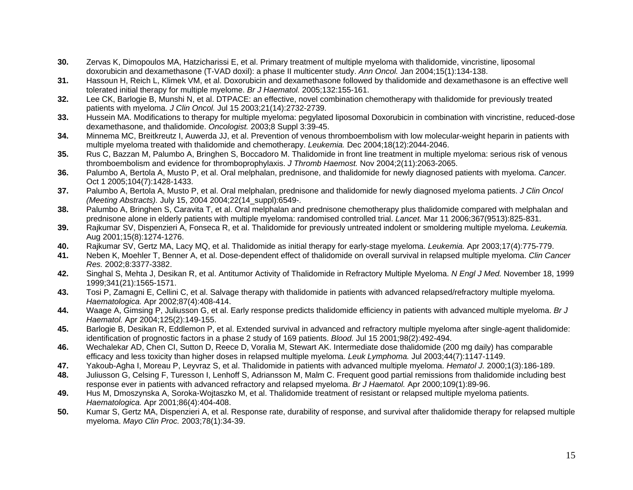- <span id="page-14-0"></span>**30.** Zervas K, Dimopoulos MA, Hatzicharissi E, et al. Primary treatment of multiple myeloma with thalidomide, vincristine, liposomal doxorubicin and dexamethasone (T-VAD doxil): a phase II multicenter study. *Ann Oncol.* Jan 2004;15(1):134-138.
- **31.** Hassoun H, Reich L, Klimek VM, et al. Doxorubicin and dexamethasone followed by thalidomide and dexamethasone is an effective well tolerated initial therapy for multiple myelome. *Br J Haematol.* 2005;132:155-161.
- **32.** Lee CK, Barlogie B, Munshi N, et al. DTPACE: an effective, novel combination chemotherapy with thalidomide for previously treated patients with myeloma. *J Clin Oncol.* Jul 15 2003;21(14):2732-2739.
- **33.** Hussein MA. Modifications to therapy for multiple myeloma: pegylated liposomal Doxorubicin in combination with vincristine, reduced-dose dexamethasone, and thalidomide. *Oncologist.* 2003;8 Suppl 3:39-45.
- **34.** Minnema MC, Breitkreutz I, Auwerda JJ, et al. Prevention of venous thromboembolism with low molecular-weight heparin in patients with multiple myeloma treated with thalidomide and chemotherapy. *Leukemia.* Dec 2004;18(12):2044-2046.
- **35.** Rus C, Bazzan M, Palumbo A, Bringhen S, Boccadoro M. Thalidomide in front line treatment in multiple myeloma: serious risk of venous thromboembolism and evidence for thromboprophylaxis. *J Thromb Haemost.* Nov 2004;2(11):2063-2065.
- **36.** Palumbo A, Bertola A, Musto P, et al. Oral melphalan, prednisone, and thalidomide for newly diagnosed patients with myeloma. *Cancer.*  Oct 1 2005;104(7):1428-1433.
- **37.** Palumbo A, Bertola A, Musto P, et al. Oral melphalan, prednisone and thalidomide for newly diagnosed myeloma patients. *J Clin Oncol (Meeting Abstracts).* July 15, 2004 2004;22(14\_suppl):6549-.
- **38.** Palumbo A, Bringhen S, Caravita T, et al. Oral melphalan and prednisone chemotherapy plus thalidomide compared with melphalan and prednisone alone in elderly patients with multiple myeloma: randomised controlled trial. *Lancet.* Mar 11 2006;367(9513):825-831.
- **39.** Rajkumar SV, Dispenzieri A, Fonseca R, et al. Thalidomide for pr eviously untreated indolent or smoldering multiple myeloma. *Leukemia.*  Aug 2001;15(8):1274-1276.
- **40.**Rajkumar SV, Gertz MA, Lacy MQ, et al. Thalidomide as initial therapy for early-stage myeloma. *Leukemia.* Apr 2003;17(4):775-779.
- **41.** Neben K, Moehler T, Benner A, et al. Dose-dependent effect of thalidomide on overall survival in relapsed multiple myeloma. *Clin Cancer Res.* 2002;8:3377-3382.
- **42.** Singhal S, Mehta J, Desikan R, et al. Antitumor Activity of Thalidomide in Refr actory Multiple Myeloma. *N Engl J Med.* November 18, 1999 1999;341(21):1565-1571.
- **43.** Tosi P, Zamagni E, Cellini C, et al. Salvage therapy with thalidomide in patients with advanced relapsed/refractory multiple myeloma. *Haematologica.* Apr 2002;87(4):408-414.
- **44.** Waage A, Gimsing P, Juliusson G, et al. Early response predicts thalidomide efficiency in patients with advanced multiple myeloma. *Br J Haematol.* Apr 2004;125(2):149-155.
- **45.** Barlogie B, Desikan R, Eddlemon P, et al. Extended survival in advance d and refractory multiple myeloma after single-agent thalidomide: identification of prognostic factors in a phase 2 study of 169 patients. *Blood.* Jul 15 2001;98(2):492-494.
- **46.** Wechalekar AD, Chen CI, Sutton D, Reece D, Voralia M, Stewart AK. Intermediate dose thalidomide (200 mg daily) has comparable efficacy and less toxicity than higher doses in relapsed multiple myeloma. *Leuk Lymphoma.* Jul 2003;44(7):1147-1149.
- **47.**Yakoub-Agha I, Moreau P, Leyvraz S, et al. Thalidomide in patients with advanced multiple myeloma. *Hematol J.* 2000;1(3):186-189.
- **48.** Juliusson G, Celsing F, Turesson I, Lenhoff S, Adriansson M, Malm C. Frequent good partial remissions from thalidomide including best response ever in patients with advanced refractory and relapsed myeloma. *Br J Haematol.* Apr 2000;109(1):89-96.
- **49.** Hus M, Dmoszynska A, Soroka-Wojtaszko M, et al. Thalidomide treatment of resistant or relapsed multiple myeloma patients. *Haematologica.* Apr 2001;86(4):404-408.
- **50.** Kumar S, Gertz MA, Dispenzieri A, et al. Response rate, durability of response, and survival after thalidomide therapy for relapsed multiple myeloma. *Mayo Clin Proc.* 2003;78(1):34-39.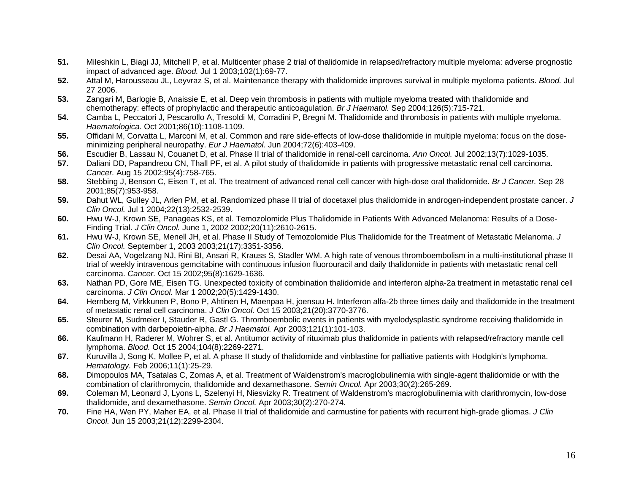- <span id="page-15-0"></span>**51.** Mileshkin L, Biagi JJ, Mitchell P, et al. Multicenter phase 2 trial of thalidomide in relapsed/refractory multiple myeloma: adverse prognostic impact of advanced age. *Blood.* Jul 1 2003;102(1):69-77.
- **52.** Attal M, Harousseau JL, Leyvraz S, et al. Maintenance therapy with thalidomide improves survival in multiple myeloma patients. *Blood.* Jul 27 2006.
- **53.** Zangari M, Barlogie B, Anaissie E, et al. Deep vein thrombosis in patients with multiple myeloma treated with thalidomide and chemotherapy: effects of prophylactic and therapeutic anticoagulation. *Br J Haematol.* Sep 2004;126(5):715-721.
- **54.** Camba L, Peccatori J, Pescarollo A, Tresoldi M, Corradini P, Bregni M. Thalidomide and thrombosis in patients with multiple myeloma. *Haematologica.* Oct 2001;86(10):1108-1109.
- **55.** Offidani M, Corvatta L, Marconi M, et al. Common and rare side-effects of low-dose thalidomide in multiple myeloma: focus on the doseminimizing peripheral neuropathy. *Eur J Haematol.* Jun 2004;72(6):403-409.
- **56.**Escudier B, Lassau N, Couanet D, et al. Phase II trial of thalidomide in renal-cell carcinoma. *Ann Oncol.* Jul 2002;13(7):1029-1035.
- **57.** Daliani DD, Papandreou CN, Thall PF, et al. A pilot study of thalidomide in patients with progressive metastatic renal cell carcinoma. *Cancer.* Aug 15 2002;95(4):758-765.
- **58.** Stebbing J, Benson C, Eisen T, et al. The treatment of advanced renal cell cancer with high-dose oral thalidomide. *Br J Cancer.* Sep 28 2001;85(7):953-958.
- **59.** Dahut WL, Gulley JL, Arlen PM, et al. Randomized phase II trial of docetaxel plus thalidomide in androgen-independent prostate cancer. *J Clin Oncol.* Jul 1 2004;22(13):2532-2539.
- **60.** Hwu W-J, Krown SE, Panageas KS, et al. Temozolomide Plus Thalidomide in Patients With Advanced Melanoma: Results of a Dose-Finding Trial. *J Clin Oncol.* June 1, 2002 2002;20(11):2610-2615.
- **61.** Hwu W-J, Krown SE, Menell JH, et al. Phase II Study of Temozolomide Plus Thalidomide for the Treatment of Metastatic Melanoma. *J Clin Oncol.* September 1, 2003 2003;21(17):3351-3356.
- **62.** Desai AA, Vogelzang NJ, Rini BI, Ansari R, Krauss S, Stadler WM. A high rate of venous thromboembolism in a multi-institutional phase II trial of weekly intravenous gemcitabine with continuous infusion fluorouracil and daily thalidomide in patients with metastatic renal cell carcinoma. *Cancer.* Oct 15 2002;95(8):1629-1636.
- **63.** Nathan PD, Gore ME, Eisen TG. Unexpected toxicity of combination thalidomide and interferon alpha-2a treatment in metastatic renal cell carcinoma. *J Clin Oncol.* Mar 1 2002;20(5):1429-1430.
- **64.** Hernberg M, Virkkunen P, Bono P, Ahtinen H, Maenpaa H, joensuu H. Interferon alfa-2b three times daily and thalidomide in the treatment of metastatic renal cell carcinoma. *J Clin Oncol.* Oct 15 2003;21(20):3770-3776.
- **65.** Steurer M, Sudmeier I, Stauder R, Gastl G. Thromboembolic events in patients with myelodysplastic syndrome receiving thalidomide in combination with darbepoietin-alpha. *Br J Haematol.* Apr 2003;121(1):101-103.
- **66.** Kaufmann H, Raderer M, Wohrer S, et al. Antitumor activity of rituximab plus thalidomide in patients with relapsed/refractory mantle cell lymphoma. *Blood.* Oct 15 2004;104(8):2269-2271.
- **67.** Kuruvilla J, Song K, Mollee P, et al. A phase II study of thalidomide and vinblastine for palliative patients with Hodgkin's lymphoma. *Hematology.* Feb 2006;11(1):25-29.
- **68.** Dimopoulos MA, Tsatalas C, Zomas A, et al. Treatment of Wald enstrom's macroglobulinemia with single-agent thalidomide or with the combination of clarithromycin, thalidomide and dexamethasone. *Semin Oncol.* Apr 2003;30(2):265-269.
- **69.** Coleman M, Leonard J, Lyons L, Szelenyi H, Niesvizky R. Treatment of Waldenstrom's macroglobulinemia with clarithromycin, low-dose thalidomide, and dexamethasone. *Semin Oncol.* Apr 2003;30(2):270-274.
- **70.** Fine HA, Wen PY, Maher EA, et al. Phase II trial of thalidomide and carmustine for patients with recurrent high-grade gliomas. *J Clin Oncol.* Jun 15 2003;21(12):2299-2304.